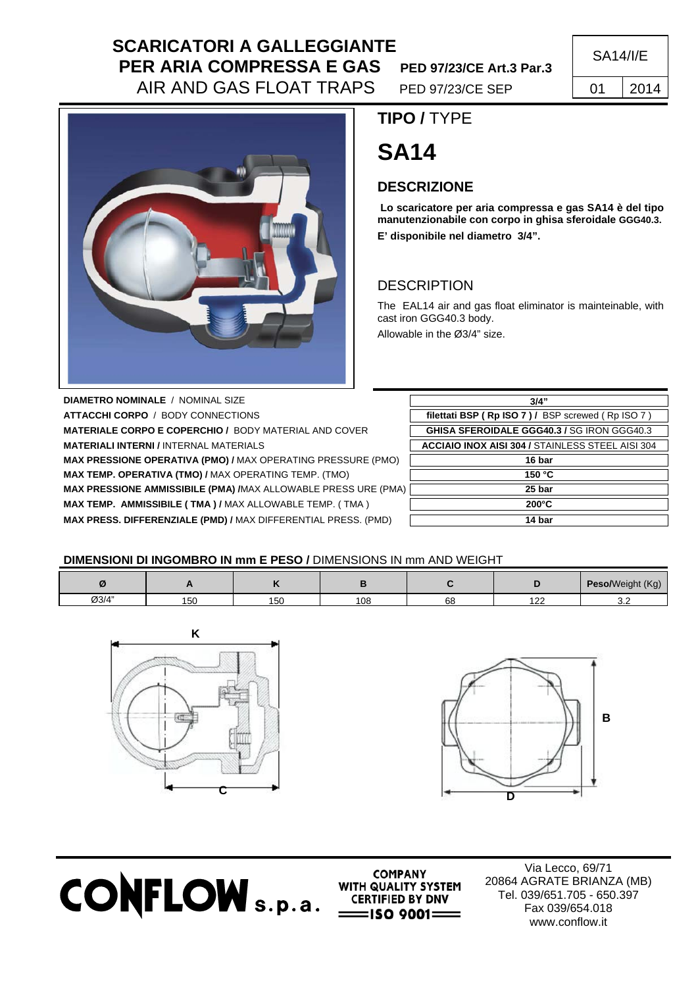# **SCARICATORI A GALLEGGIANTE PER ARIA COMPRESSA E GAS** PED 97/23/CE Art.3 Par.3 AIR AND GAS FLOAT TRAPS PED 97/23/CE SEP 1 01 2014

SA14/I/E



 **TIPO /** TYPE

# **SA14**

### **DESCRIZIONE**

 **Lo scaricatore per aria compressa e gas SA14 è del tipo manutenzionabile con corpo in ghisa sferoidale GGG40.3. E' disponibile nel diametro 3/4".** 

## **DESCRIPTION**

The EAL14 air and gas float eliminator is mainteinable, with cast iron GGG40.3 body.

Allowable in the Ø3/4" size.

**DIAMETRO NOMINALE** / NOMINAL SIZE **ATTACCHI CORPO / BODY CONNECTIONS MATERIALE CORPO E COPERCHIO / BODY MATERIAL AND COVER MATERIALI INTERNI / INTERNAL MATERIALS MAX PRESSIONE OPERATIVA (PMO) / MAX OPERATING PRESSURE (PMO) MAX TEMP. OPERATIVA (TMO) / MAX OPERATING TEMP. (TMO) MAX PRESSIONE AMMISSIBILE (PMA) /MAX ALLOWABLE PRESS URE (PMA) MAX TEMP. AMMISSIBILE ( TMA ) / MAX ALLOWABLE TEMP. ( TMA ) MAX PRESS. DIFFERENZIALE (PMD) / MAX DIFFERENTIAL PRESS. (PMD)** 

| 3/4"                                                    |  |  |  |  |
|---------------------------------------------------------|--|--|--|--|
| filettati BSP (Rp ISO 7) / BSP screwed (Rp ISO 7)       |  |  |  |  |
| <b>GHISA SFEROIDALE GGG40.3 / SG IRON GGG40.3</b>       |  |  |  |  |
| <b>ACCIAIO INOX AISI 304 / STAINLESS STEEL AISI 304</b> |  |  |  |  |
| 16 bar                                                  |  |  |  |  |
| 150 °C                                                  |  |  |  |  |
| 25 bar                                                  |  |  |  |  |
| $200^{\circ}$ C                                         |  |  |  |  |
| 14 bar                                                  |  |  |  |  |

#### **DIMENSIONI DI INGOMBRO IN mm E PESO /** DIMENSIONS IN mm AND WEIGHT

|       | . . |     |     |    |          | Peso/Weight (Kg) |
|-------|-----|-----|-----|----|----------|------------------|
| Ø3/4" | 150 | 150 | 108 | 68 | 100<br>. | v.L              |





**CONFLOW** s.p.a. **WITH QUALITY SYSTEM** 

**COMPANY** 

Via Lecco, 69/71 20864 AGRATE BRIANZA (MB) Tel. 039/651.705 - 650.397 Fax 039/654.018 www.conflow.it